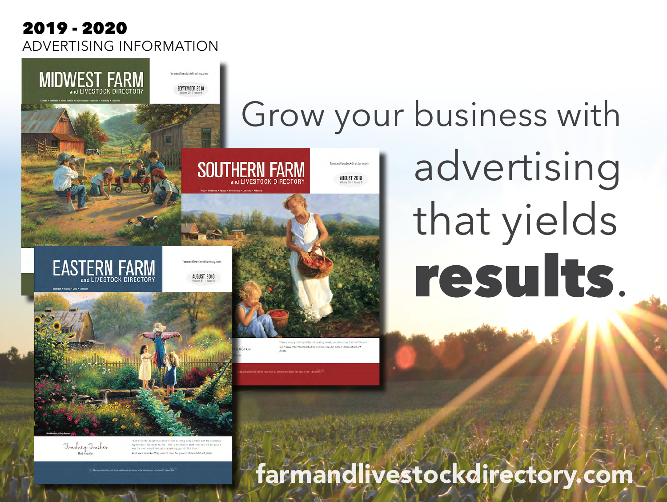### 2019 - 2020 ADVERTISING INFORMATION

SEPTEMBER 2018

**MIDWEST FARM** 

**EASTERN FARM** 

# Grow your business with advertising **SOUTHERN FARM AUGUST 2018** that yields results.



Finishing Touches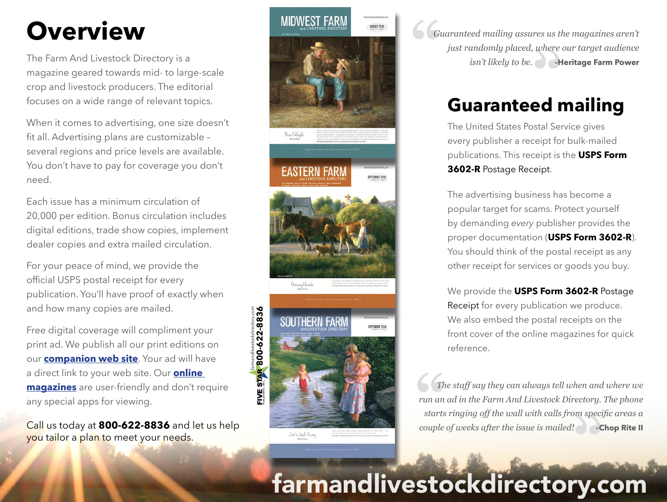# **Overview**

The Farm And Livestock Directory is a magazine geared towards mid- to large-scale crop and livestock producers. The editorial focuses on a wide range of relevant topics.

When it comes to advertising, one size doesn't fit all. Advertising plans are customizable – several regions and price levels are available. You don't have to pay for coverage you don't need.

Each issue has a minimum circulation of 20,000 per edition. Bonus circulation includes digital editions, trade show copies, implement dealer copies and extra mailed circulation.

For your peace of mind, we provide the official USPS postal receipt for every publication. You'll have proof of exactly when and how many copies are mailed.

Free digital coverage will compliment your print ad. We publish all our print editions on our **[companion web site](www.farmandlivestockdirectory.com)**. Your ad will have a direct link to your web site. Our **[online](http://farmandlivestockdirectory.com/read-online)  [magazines](http://farmandlivestockdirectory.com/read-online)** are user-friendly and don't require any special apps for viewing.

Call us today at **800-622-8836** and let us help you tailor a plan to meet your needs.



**" "***isn't likely to be.* **–Heritage Farm Power** *Guaranteed mailing assures us the magazines aren't just randomly placed, where our target audience* 

## **Guaranteed mailing**

The United States Postal Service gives every publisher a receipt for bulk-mailed publications. This receipt is the **USPS Form 3602-R** Postage Receipt.

The advertising business has become a popular target for scams. Protect yourself by demanding *every* publisher provides the proper documentation (**USPS Form 3602-R**). You should think of the postal receipt as any other receipt for services or goods you buy.

We provide the **USPS Form 3602-R** Postage Receipt for every publication we produce. We also embed the postal receipts on the front cover of the online magazines for quick reference.

**T**<br>
run an<br>
starts **"***couple of weeks after the issue is mailed!* **–Chop Rite II**  *The staff say they can always tell when and where we run an ad in the Farm And Livestock Directory. The phone starts ringing off the wall with calls from specific areas a* 

# farmandlivestockdirectory.com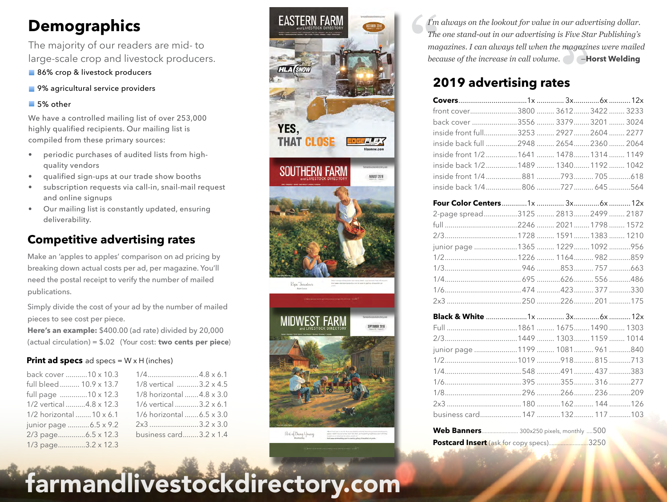### **Demographics**

The majority of our readers are mid- to large-scale crop and livestock producers.

- 86% crop & livestock producers
- 9% agricultural service providers

#### ■ 5% other

We have a controlled mailing list of over 253,000 highly qualified recipients. Our mailing list is compiled from these primary sources:

- periodic purchases of audited lists from highquality vendors
- qualified sign-ups at our trade show booths
- subscription requests via call-in, snail-mail request and online signups
- Our mailing list is constantly updated, ensuring deliverability.

### **Competitive advertising rates**

Make an 'apples to apples' comparison on ad pricing by breaking down actual costs per ad, per magazine. You'll need the postal receipt to verify the number of mailed publications.

Simply divide the cost of your ad by the number of mailed pieces to see cost per piece.

**Here's an example:** \$400.00 (ad rate) divided by 20,000 (actual circulation) = \$.02 (Your cost: **two cents per piece**)

#### **Print ad specs** ad specs =  $W \times H$  (inches)

| back cover 10 x 10.3    |                           |
|-------------------------|---------------------------|
| full bleed 10.9 x 13.7  | 1/8 vertical 3.2 x 4.5    |
| full page 10 x 12.3     | 1/8 horizontal 4.8 x 3.0  |
| 1/2 vertical 4.8 x 12.3 | 1/6 vertical 3.2 x 6.1    |
| 1/2 horizontal 10 x 6.1 | 1/6 horizontal  6.5 x 3.0 |
| junior page 6.5 x 9.2   | $2x3$ 3.2 x 3.0           |
| 2/3 page6.5 x 12.3      | business card3.2 x 1.4    |
| 1/3 page3.2 x 12.3      |                           |



**1** The magnet **"***because of the increase in call volume.*  –**Horst Welding** *I'm always on the lookout for value in our advertising dollar. The one stand-out in our advertising is Five Star Publishing's magazines. I can always tell when the magazines were mailed* 

### **2019 advertising rates**

| front cover3800  3612 3422  3233        |  |  |
|-----------------------------------------|--|--|
| back cover 3556  3379  3201  3024       |  |  |
| inside front full3253  2927  2604  2277 |  |  |
| inside back full 2948  2654 2360  2064  |  |  |
| inside front 1/21641  1478 1314  1149   |  |  |
| inside back 1/21489  1340 1192  1042    |  |  |
| inside front 1/4881793 705618           |  |  |
| inside back 1/4806 727  645 564         |  |  |
|                                         |  |  |
| 2-page spread3125  2813 2499  2187      |  |  |
|                                         |  |  |
|                                         |  |  |
| junior page 1365  1229  1092  956       |  |  |
|                                         |  |  |
|                                         |  |  |
|                                         |  |  |
|                                         |  |  |
|                                         |  |  |
|                                         |  |  |
|                                         |  |  |
|                                         |  |  |
| junior page  1199  1081  961 840        |  |  |
|                                         |  |  |
|                                         |  |  |
|                                         |  |  |
|                                         |  |  |
|                                         |  |  |
| business card 147  132 117  103         |  |  |
|                                         |  |  |

| Web Banners 300x250 pixels, monthly 500  |
|------------------------------------------|
| Postcard Insert (ask for copy specs)3250 |

farmandlivestockdirectory.com